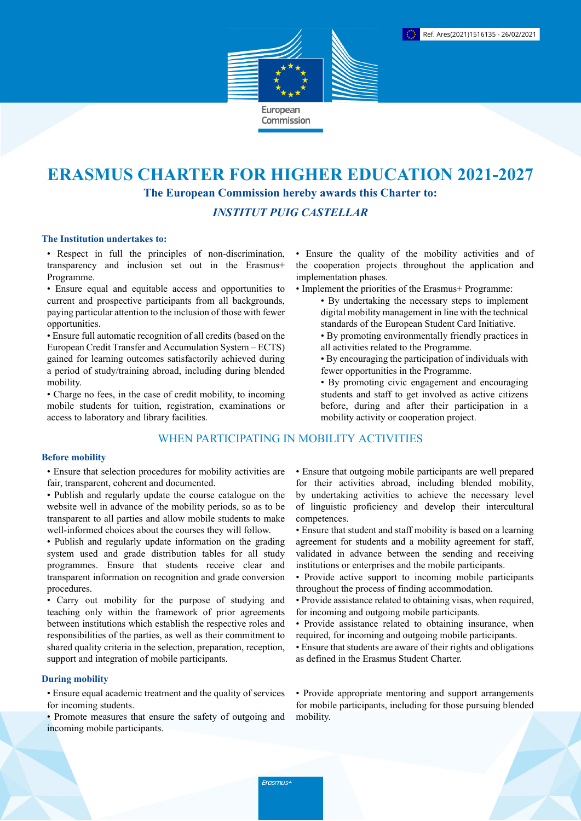

# **ERASMUS CHARTER FOR HIGHER EDUCATION 2021-2027 The European Commission hereby awards this Charter to:**

# *INSTITUT PUIG CASTELLAR*

#### **The Institution undertakes to:**

• Respect in full the principles of non-discrimination, transparency and inclusion set out in the Erasmus+ Programme.

• Ensure equal and equitable access and opportunities to current and prospective participants from all backgrounds, paying particular attention to the inclusion of those with fewer opportunities.

• Ensure full automatic recognition of all credits (based on the European Credit Transfer and Accumulation System – ECTS) gained for learning outcomes satisfactorily achieved during a period of study/training abroad, including during blended mobility.

• Charge no fees, in the case of credit mobility, to incoming mobile students for tuition, registration, examinations or access to laboratory and library facilities.

## WHEN PARTICIPATING IN MOBILITY ACTIVITIES

#### **Before mobility**

• Ensure that selection procedures for mobility activities are fair, transparent, coherent and documented.

- Publish and regularly update the course catalogue on the website well in advance of the mobility periods, so as to be transparent to all parties and allow mobile students to make well-informed choices about the courses they will follow.
- Publish and regularly update information on the grading system used and grade distribution tables for all study programmes. Ensure that students receive clear and transparent information on recognition and grade conversion procedures.

• Carry out mobility for the purpose of studying and teaching only within the framework of prior agreements between institutions which establish the respective roles and responsibilities of the parties, as well as their commitment to shared quality criteria in the selection, preparation, reception, support and integration of mobile participants.

## **During mobility**

• Ensure equal academic treatment and the quality of services for incoming students.

• Promote measures that ensure the safety of outgoing and incoming mobile participants.

• Ensure the quality of the mobility activities and of the cooperation projects throughout the application and implementation phases.

- Implement the priorities of the Erasmus+ Programme:
	- By undertaking the necessary steps to implement digital mobility management in line with the technical standards of the European Student Card Initiative.
	- By promoting environmentally friendly practices in all activities related to the Programme.
	- By encouraging the participation of individuals with fewer opportunities in the Programme.
	- By promoting civic engagement and encouraging students and staff to get involved as active citizens before, during and after their participation in a mobility activity or cooperation project.

• Ensure that outgoing mobile participants are well prepared for their activities abroad, including blended mobility, by undertaking activities to achieve the necessary level of linguistic proficiency and develop their intercultural competences.

- Ensure that student and staff mobility is based on a learning agreement for students and a mobility agreement for staff, validated in advance between the sending and receiving institutions or enterprises and the mobile participants.
- Provide active support to incoming mobile participants throughout the process of finding accommodation.
- Provide assistance related to obtaining visas, when required, for incoming and outgoing mobile participants.
- Provide assistance related to obtaining insurance, when required, for incoming and outgoing mobile participants.
- Ensure that students are aware of their rights and obligations as defined in the Erasmus Student Charter.

• Provide appropriate mentoring and support arrangements for mobile participants, including for those pursuing blended mobility.

Erasmus+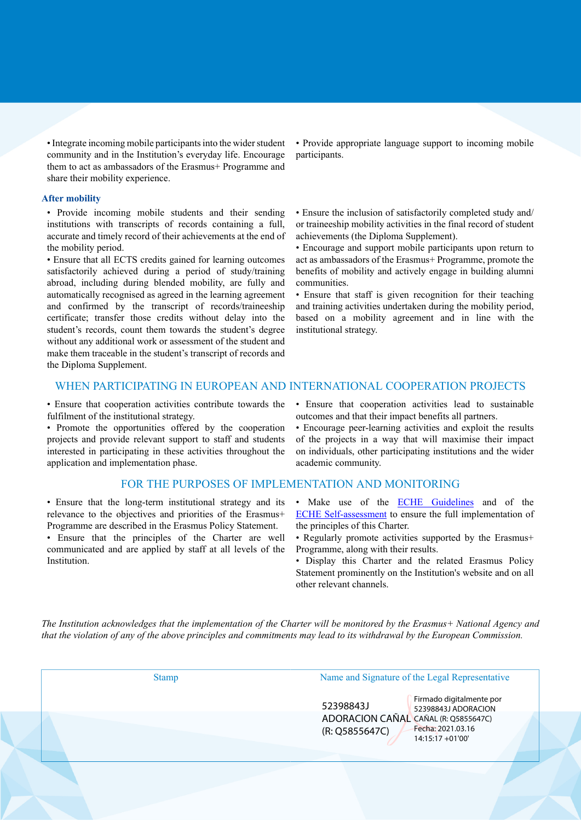• Integrate incoming mobile participants into the wider student community and in the Institution's everyday life. Encourage them to act as ambassadors of the Erasmus+ Programme and share their mobility experience.

#### **After mobility**

• Provide incoming mobile students and their sending institutions with transcripts of records containing a full, accurate and timely record of their achievements at the end of the mobility period.

• Ensure that all ECTS credits gained for learning outcomes satisfactorily achieved during a period of study/training abroad, including during blended mobility, are fully and automatically recognised as agreed in the learning agreement and confirmed by the transcript of records/traineeship certificate; transfer those credits without delay into the student's records, count them towards the student's degree without any additional work or assessment of the student and make them traceable in the student's transcript of records and the Diploma Supplement.

• Provide appropriate language support to incoming mobile participants.

• Ensure the inclusion of satisfactorily completed study and/ or traineeship mobility activities in the final record of student achievements (the Diploma Supplement).

• Encourage and support mobile participants upon return to act as ambassadors of the Erasmus+ Programme, promote the benefits of mobility and actively engage in building alumni communities.

• Ensure that staff is given recognition for their teaching and training activities undertaken during the mobility period, based on a mobility agreement and in line with the institutional strategy.

### WHEN PARTICIPATING IN EUROPEAN AND INTERNATIONAL COOPERATION PROJECTS

• Ensure that cooperation activities contribute towards the fulfilment of the institutional strategy.

• Promote the opportunities offered by the cooperation projects and provide relevant support to staff and students interested in participating in these activities throughout the application and implementation phase.

#### FOR THE PURPOSES OF IMPLEMENTATION AND MONITORING

• Ensure that the long-term institutional strategy and its relevance to the objectives and priorities of the Erasmus+ Programme are described in the Erasmus Policy Statement.

• Ensure that the principles of the Charter are well communicated and are applied by staff at all levels of the Institution.

• Ensure that cooperation activities lead to sustainable outcomes and that their impact benefits all partners.

• Encourage peer-learning activities and exploit the results of the projects in a way that will maximise their impact on individuals, other participating institutions and the wider academic community.

- Make use of the **ECHE Guidelines** and of the [ECHE Self-assessment](https://ec.europa.eu/programmes/erasmus-plus/eche/start_en) to ensure the full implementation of the principles of this Charter.
- Regularly promote activities supported by the Erasmus+ Programme, along with their results.
- Display this Charter and the related Erasmus Policy Statement prominently on the Institution's website and on all other relevant channels.

The Institution acknowledges that the implementation of the Charter will be monitored by the Erasmus+ National Agency and that the violation of any of the above principles and commitments may lead to its withdrawal by the European Commission.

| <b>Stamp</b> | Name and Signature of the Legal Representative         |                                                 |
|--------------|--------------------------------------------------------|-------------------------------------------------|
|              | 52398843J                                              | Firmado digitalmente por<br>52398843J ADORACION |
|              | ADORACION CAÑAL CAÑAL (R: Q5855647C)<br>(R: Q5855647C) | Fecha: 2021.03.16<br>$14:15:17 + 01'00'$        |
|              |                                                        |                                                 |